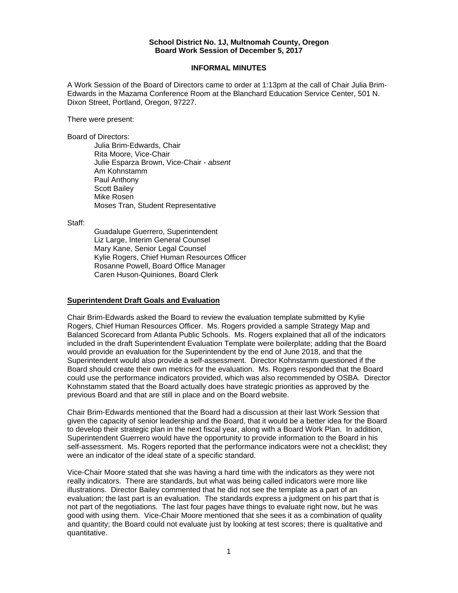#### **School District No. 1J, Multnomah County, Oregon Board Work Session of December 5, 2017**

#### **INFORMAL MINUTES**

A Work Session of the Board of Directors came to order at 1:13pm at the call of Chair Julia Brim-Edwards in the Mazama Conference Room at the Blanchard Education Service Center, 501 N. Dixon Street, Portland, Oregon, 97227.

There were present:

Board of Directors:

Julia Brim-Edwards, Chair Rita Moore, Vice-Chair Julie Esparza Brown, Vice-Chair - *absent*  Am Kohnstamm Paul Anthony Scott Bailey Mike Rosen Moses Tran, Student Representative

Staff:

 Guadalupe Guerrero, Superintendent Liz Large, Interim General Counsel Mary Kane, Senior Legal Counsel Kylie Rogers, Chief Human Resources Officer Rosanne Powell, Board Office Manager Caren Huson-Quiniones, Board Clerk

## **Superintendent Draft Goals and Evaluation**

Chair Brim-Edwards asked the Board to review the evaluation template submitted by Kylie Rogers, Chief Human Resources Officer. Ms. Rogers provided a sample Strategy Map and Balanced Scorecard from Atlanta Public Schools. Ms. Rogers explained that all of the indicators included in the draft Superintendent Evaluation Template were boilerplate; adding that the Board would provide an evaluation for the Superintendent by the end of June 2018, and that the Superintendent would also provide a self-assessment. Director Kohnstamm questioned if the Board should create their own metrics for the evaluation. Ms. Rogers responded that the Board could use the performance indicators provided, which was also recommended by OSBA. Director Kohnstamm stated that the Board actually does have strategic priorities as approved by the previous Board and that are still in place and on the Board website.

Chair Brim-Edwards mentioned that the Board had a discussion at their last Work Session that given the capacity of senior leadership and the Board, that it would be a better idea for the Board to develop their strategic plan in the next fiscal year, along with a Board Work Plan. In addition, Superintendent Guerrero would have the opportunity to provide information to the Board in his self-assessment. Ms. Rogers reported that the performance indicators were not a checklist; they were an indicator of the ideal state of a specific standard.

Vice-Chair Moore stated that she was having a hard time with the indicators as they were not really indicators. There are standards, but what was being called indicators were more like illustrations. Director Bailey commented that he did not see the template as a part of an evaluation; the last part is an evaluation. The standards express a judgment on his part that is not part of the negotiations. The last four pages have things to evaluate right now, but he was good with using them. Vice-Chair Moore mentioned that she sees it as a combination of quality and quantity; the Board could not evaluate just by looking at test scores; there is qualitative and quantitative.